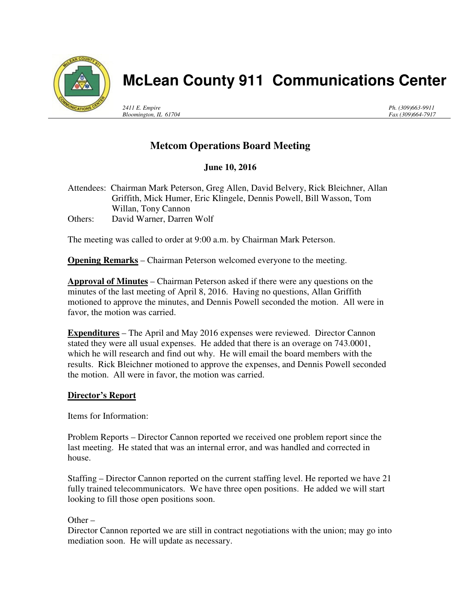

# **McLean County 911 Communications Center**

*2411 E. Empire Bloomington, IL 61704* *Ph. (309)663-9911 Fax (309)664-7917*

# **Metcom Operations Board Meeting**

## **June 10, 2016**

Attendees: Chairman Mark Peterson, Greg Allen, David Belvery, Rick Bleichner, Allan Griffith, Mick Humer, Eric Klingele, Dennis Powell, Bill Wasson, Tom Willan, Tony Cannon Others: David Warner, Darren Wolf

The meeting was called to order at 9:00 a.m. by Chairman Mark Peterson.

**Opening Remarks** – Chairman Peterson welcomed everyone to the meeting.

**Approval of Minutes** – Chairman Peterson asked if there were any questions on the minutes of the last meeting of April 8, 2016. Having no questions, Allan Griffith motioned to approve the minutes, and Dennis Powell seconded the motion. All were in favor, the motion was carried.

**Expenditures** – The April and May 2016 expenses were reviewed. Director Cannon stated they were all usual expenses. He added that there is an overage on 743.0001, which he will research and find out why. He will email the board members with the results. Rick Bleichner motioned to approve the expenses, and Dennis Powell seconded the motion. All were in favor, the motion was carried.

### **Director's Report**

Items for Information:

Problem Reports – Director Cannon reported we received one problem report since the last meeting. He stated that was an internal error, and was handled and corrected in house.

Staffing – Director Cannon reported on the current staffing level. He reported we have 21 fully trained telecommunicators. We have three open positions. He added we will start looking to fill those open positions soon.

Other  $-$ 

Director Cannon reported we are still in contract negotiations with the union; may go into mediation soon. He will update as necessary.